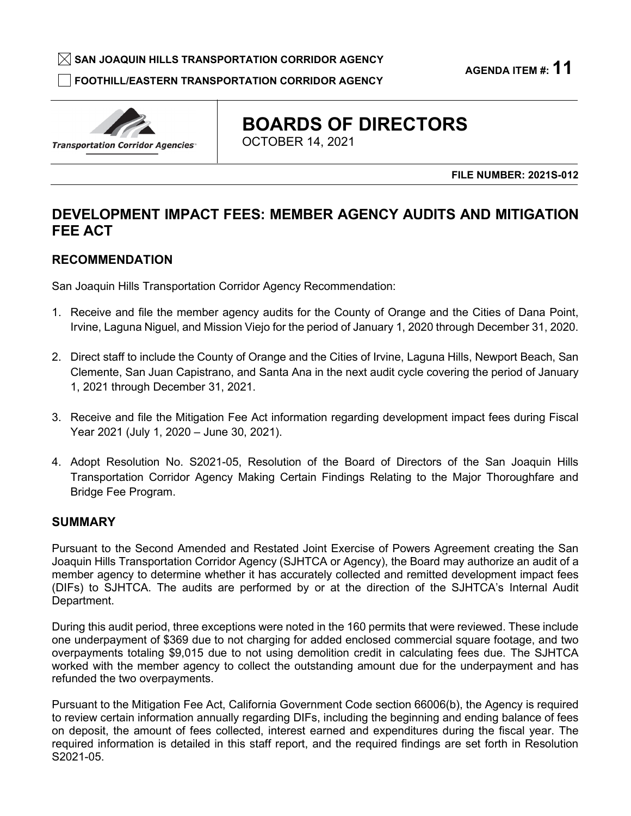$\boxtimes$  SAN JOAQUIN HILLS TRANSPORTATION CORRIDOR AGENCY

□ **FOOTHILL/EASTERN TRANSPORTATION CORRIDOR AGENCY** 

**AGENDA ITEM #: 11** 

Transportation Corridor Agencies·

# **BOARDS OF DIRECTORS**

OCTOBER 14, 2021

**FILE NUMBER: 2021S-012** 

# **DEVELOPMENT IMPACT FEES: MEMBER AGENCY AUDITS AND MITIGATION FEE ACT**

# **RECOMMENDATION**

San Joaquin Hills Transportation Corridor Agency Recommendation:

- 1. Receive and file the member agency audits for the County of Orange and the Cities of Dana Point, Irvine, Laguna Niguel, and Mission Viejo for the period of January 1, 2020 through December 31, 2020.
- 2. Direct staff to include the County of Orange and the Cities of Irvine, Laguna Hills, Newport Beach, San Clemente, San Juan Capistrano, and Santa Ana in the next audit cycle covering the period of January 1, 2021 through December 31, 2021.
- Year 2021 (July 1, 2020 June 30, 2021). 3. Receive and file the Mitigation Fee Act information regarding development impact fees during Fiscal
- 4. Adopt Resolution No. S2021-05, Resolution of the Board of Directors of the San Joaquin Hills Transportation Corridor Agency Making Certain Findings Relating to the Major Thoroughfare and Bridge Fee Program.

# **SUMMARY**

 (DIFs) to SJHTCA. The audits are performed by or at the direction of the SJHTCA's Internal Audit Department. **DEVELOPMENT IMPACT FEES: MEMBER AGENCY AUDITS AND MITIGATION<br>
FEE ACT<br>
RECOMMENDATION<br>
San Joaquin Hills Transportation Corridor Agency Recommendation:<br>
1. Receive and file the member agency audits for the County of Orang** Pursuant to the Second Amended and Restated Joint Exercise of Powers Agreement creating the San Joaquin Hills Transportation Corridor Agency (SJHTCA or Agency), the Board may authorize an audit of a member agency to determine whether it has accurately collected and remitted development impact fees

Department.<br>During this audit period, three exceptions were noted in the 160 permits that were reviewed. These include one underpayment of \$369 due to not charging for added enclosed commercial square footage, and two worked with the member agency to collect the outstanding amount due for the underpayment and has refunded the two overpayments. overpayments totaling \$9,015 due to not using demolition credit in calculating fees due. The SJHTCA

 Pursuant to the Mitigation Fee Act, California Government Code section 66006(b), the Agency is required to review certain information annually regarding DIFs, including the beginning and ending balance of fees required information is detailed in this staff report, and the required findings are set forth in Resolution on deposit, the amount of fees collected, interest earned and expenditures during the fiscal year. The S2021-05.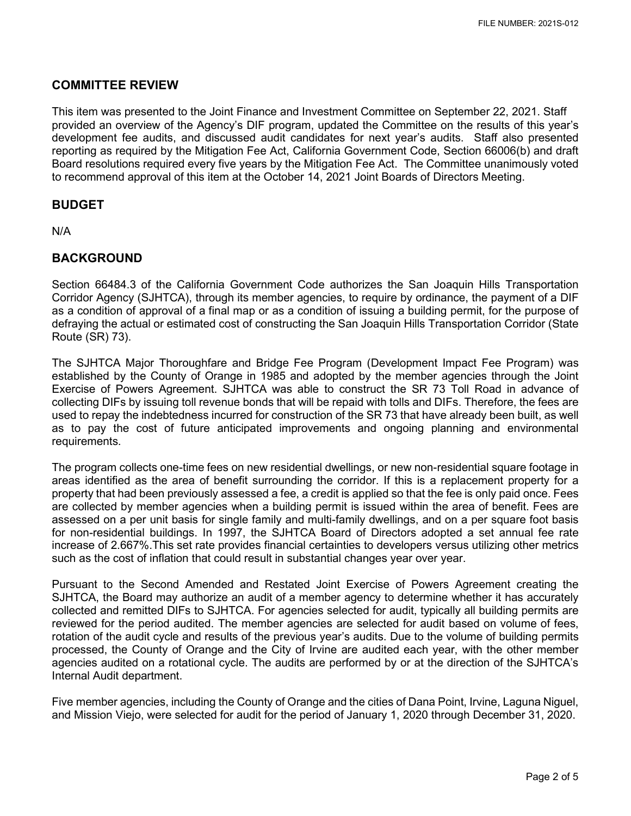## **COMMITTEE REVIEW**

 This item was presented to the Joint Finance and Investment Committee on September 22, 2021. Staff provided an overview of the Agency's DIF program, updated the Committee on the results of this year's development fee audits, and discussed audit candidates for next year's audits. Staff also presented reporting as required by the Mitigation Fee Act, California Government Code, Section 66006(b) and draft Board resolutions required every five years by the Mitigation Fee Act. The Committee unanimously voted to recommend approval of this item at the October 14, 2021 Joint Boards of Directors Meeting.

## **BUDGET**

N/A

## **BACKGROUND**

 Section 66484.3 of the California Government Code authorizes the San Joaquin Hills Transportation Corridor Agency (SJHTCA), through its member agencies, to require by ordinance, the payment of a DIF as a condition of approval of a final map or as a condition of issuing a building permit, for the purpose of Route (SR) 73). defraying the actual or estimated cost of constructing the San Joaquin Hills Transportation Corridor (State

 Exercise of Powers Agreement. SJHTCA was able to construct the SR 73 Toll Road in advance of as to pay the cost of future anticipated improvements and ongoing planning and environmental The SJHTCA Major Thoroughfare and Bridge Fee Program (Development Impact Fee Program) was established by the County of Orange in 1985 and adopted by the member agencies through the Joint collecting DIFs by issuing toll revenue bonds that will be repaid with tolls and DIFs. Therefore, the fees are used to repay the indebtedness incurred for construction of the SR 73 that have already been built, as well requirements.

 areas identified as the area of benefit surrounding the corridor. If this is a replacement property for a property that had been previously assessed a fee, a credit is applied so that the fee is only paid once. Fees assessed on a per unit basis for single family and multi-family dwellings, and on a per square foot basis for non-residential buildings. In 1997, the SJHTCA Board of Directors adopted a set annual fee rate increase of 2.667%.This set rate provides financial certainties to developers versus utilizing other metrics The program collects one-time fees on new residential dwellings, or new non-residential square footage in are collected by member agencies when a building permit is issued within the area of benefit. Fees are such as the cost of inflation that could result in substantial changes year over year.

 Pursuant to the Second Amended and Restated Joint Exercise of Powers Agreement creating the collected and remitted DIFs to SJHTCA. For agencies selected for audit, typically all building permits are reviewed for the period audited. The member agencies are selected for audit based on volume of fees, rotation of the audit cycle and results of the previous year's audits. Due to the volume of building permits processed, the County of Orange and the City of Irvine are audited each year, with the other member SJHTCA, the Board may authorize an audit of a member agency to determine whether it has accurately agencies audited on a rotational cycle. The audits are performed by or at the direction of the SJHTCA's Internal Audit department.

 Five member agencies, including the County of Orange and the cities of Dana Point, Irvine, Laguna Niguel, and Mission Viejo, were selected for audit for the period of January 1, 2020 through December 31, 2020.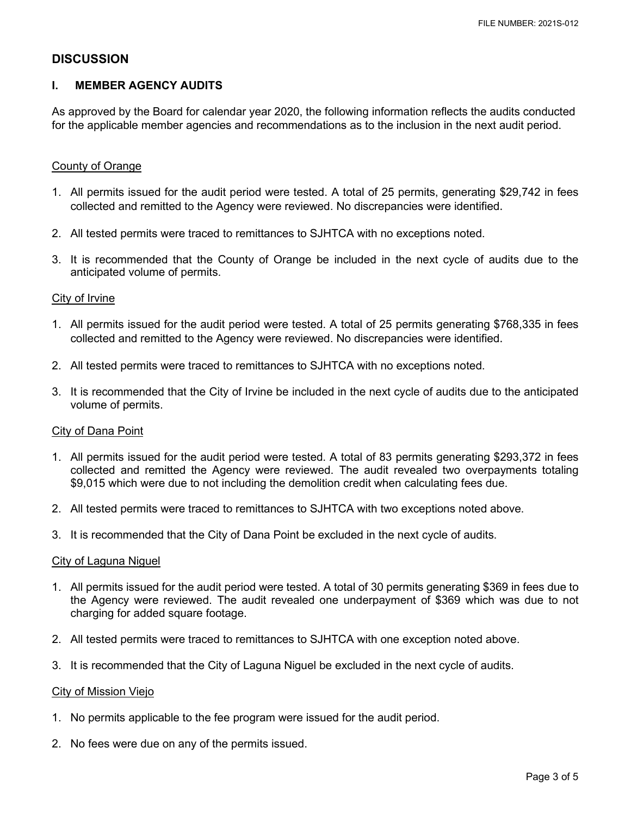## **DISCUSSION**

### **I. MEMBER AGENCY AUDITS**

As approved by the Board for calendar year 2020, the following information reflects the audits conducted for the applicable member agencies and recommendations as to the inclusion in the next audit period.

#### County of Orange

- collected and remitted to the Agency were reviewed. No discrepancies were identified. 1. All permits issued for the audit period were tested. A total of 25 permits, generating \$29,742 in fees
- 2. All tested permits were traced to remittances to SJHTCA with no exceptions noted.
- 3. It is recommended that the County of Orange be included in the next cycle of audits due to the anticipated volume of permits.

#### City of Irvine

- 1. All permits issued for the audit period were tested. A total of 25 permits generating \$768,335 in fees collected and remitted to the Agency were reviewed. No discrepancies were identified.
- 2. All tested permits were traced to remittances to SJHTCA with no exceptions noted.
- 3. It is recommended that the City of Irvine be included in the next cycle of audits due to the anticipated volume of permits.

#### City of Dana Point

- collected and remitted the Agency were reviewed. The audit revealed two overpayments totaling 1. All permits issued for the audit period were tested. A total of 83 permits generating \$293,372 in fees \$9,015 which were due to not including the demolition credit when calculating fees due.
- 2. All tested permits were traced to remittances to SJHTCA with two exceptions noted above.
- 3. It is recommended that the City of Dana Point be excluded in the next cycle of audits.

#### City of Laguna Niguel

- <u>City of Laguna Niguel</u><br>1. All permits issued for the audit period were tested. A total of 30 permits generating \$369 in fees due to the Agency were reviewed. The audit revealed one underpayment of \$369 which was due to not charging for added square footage.
- 2. All tested permits were traced to remittances to SJHTCA with one exception noted above.
- 3. It is recommended that the City of Laguna Niguel be excluded in the next cycle of audits.

#### City of Mission Viejo

- 1. No permits applicable to the fee program were issued for the audit period.
- 2. No fees were due on any of the permits issued.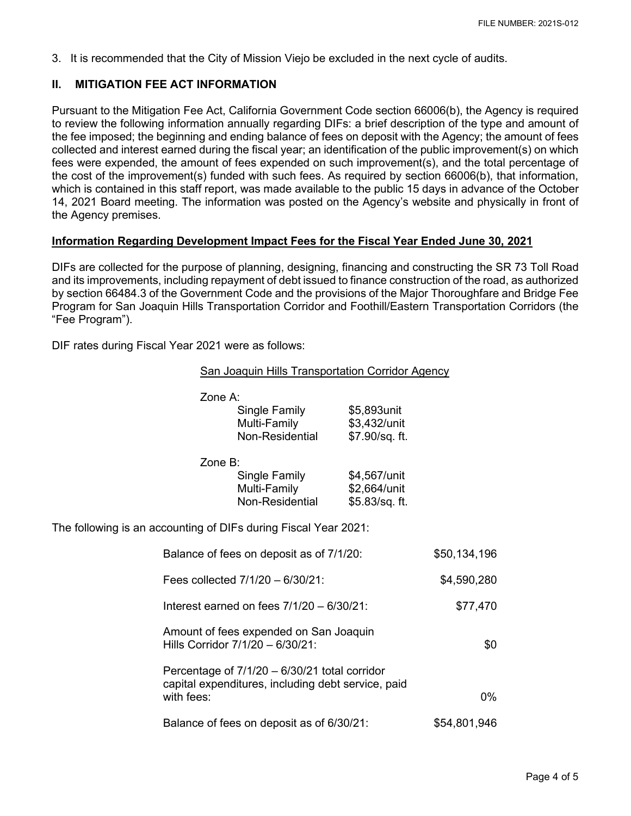3. It is recommended that the City of Mission Viejo be excluded in the next cycle of audits.

#### **II. MITIGATION FEE ACT INFORMATION**

 Pursuant to the Mitigation Fee Act, California Government Code section 66006(b), the Agency is required which is contained in this staff report, was made available to the public 15 days in advance of the October 14, 2021 Board meeting. The information was posted on the Agency's website and physically in front of the Agency premises. to review the following information annually regarding DIFs: a brief description of the type and amount of the fee imposed; the beginning and ending balance of fees on deposit with the Agency; the amount of fees collected and interest earned during the fiscal year; an identification of the public improvement(s) on which fees were expended, the amount of fees expended on such improvement(s), and the total percentage of the cost of the improvement(s) funded with such fees. As required by section 66006(b), that information,

## **Information Regarding Development Impact Fees for the Fiscal Year Ended June 30, 2021**

 DIFs are collected for the purpose of planning, designing, financing and constructing the SR 73 Toll Road and its improvements, including repayment of debt issued to finance construction of the road, as authorized Program for San Joaquin Hills Transportation Corridor and Foothill/Eastern Transportation Corridors (the by section 66484.3 of the Government Code and the provisions of the Major Thoroughfare and Bridge Fee "Fee Program").

DIF rates during Fiscal Year 2021 were as follows:

| San Joaquin Hills Transportation Corridor Agency |  |
|--------------------------------------------------|--|
|                                                  |  |

|                                                                 | Zone A:                                      |                                                                                                       |                |              |
|-----------------------------------------------------------------|----------------------------------------------|-------------------------------------------------------------------------------------------------------|----------------|--------------|
|                                                                 |                                              | Single Family                                                                                         | \$5,893unit    |              |
|                                                                 |                                              | Multi-Family                                                                                          | \$3,432/unit   |              |
|                                                                 |                                              | Non-Residential                                                                                       | \$7.90/sq. ft. |              |
|                                                                 | Zone B:                                      |                                                                                                       |                |              |
|                                                                 |                                              | Single Family                                                                                         | \$4,567/unit   |              |
|                                                                 |                                              | Multi-Family                                                                                          | \$2,664/unit   |              |
|                                                                 |                                              | Non-Residential                                                                                       | \$5.83/sq. ft. |              |
| The following is an accounting of DIFs during Fiscal Year 2021: |                                              |                                                                                                       |                |              |
|                                                                 |                                              | Balance of fees on deposit as of 7/1/20:                                                              |                | \$50,134,196 |
|                                                                 | Fees collected 7/1/20 - 6/30/21:             |                                                                                                       |                | \$4,590,280  |
|                                                                 | Interest earned on fees $7/1/20 - 6/30/21$ : |                                                                                                       |                | \$77,470     |
|                                                                 |                                              | Amount of fees expended on San Joaquin<br>Hills Corridor 7/1/20 - 6/30/21:                            |                | \$0          |
|                                                                 |                                              |                                                                                                       |                |              |
|                                                                 |                                              | Percentage of $7/1/20 - 6/30/21$ total corridor<br>capital expenditures, including debt service, paid |                |              |
|                                                                 | with fees:                                   |                                                                                                       |                | $0\%$        |
|                                                                 |                                              | Balance of fees on deposit as of 6/30/21:                                                             |                | \$54,801,946 |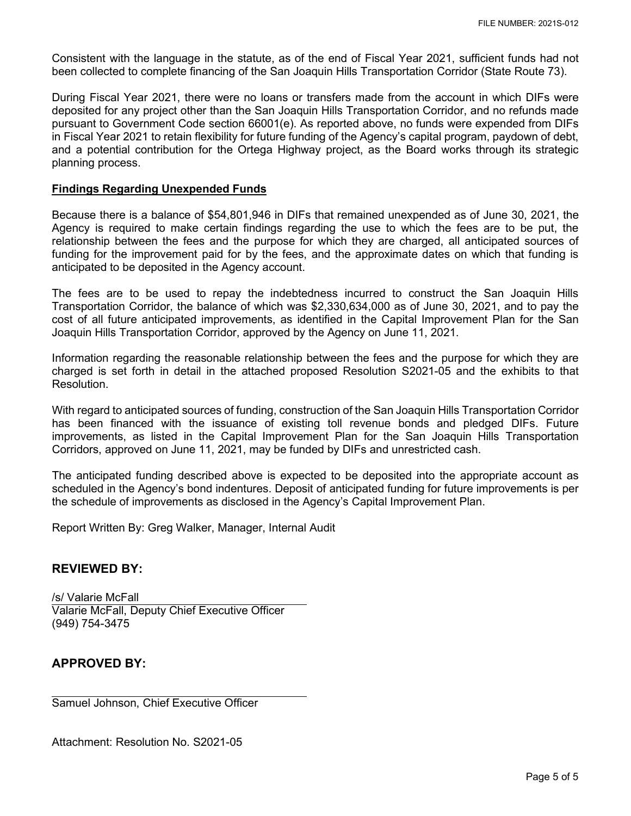Consistent with the language in the statute, as of the end of Fiscal Year 2021, sufficient funds had not been collected to complete financing of the San Joaquin Hills Transportation Corridor (State Route 73).

 During Fiscal Year 2021, there were no loans or transfers made from the account in which DIFs were and a potential contribution for the Ortega Highway project, as the Board works through its strategic deposited for any project other than the San Joaquin Hills Transportation Corridor, and no refunds made pursuant to Government Code section 66001(e). As reported above, no funds were expended from DIFs in Fiscal Year 2021 to retain flexibility for future funding of the Agency's capital program, paydown of debt, planning process.

#### **Findings Regarding Unexpended Funds**

 Agency is required to make certain findings regarding the use to which the fees are to be put, the funding for the improvement paid for by the fees, and the approximate dates on which that funding is anticipated to be deposited in the Agency account. Because there is a balance of \$54,801,946 in DIFs that remained unexpended as of June 30, 2021, the relationship between the fees and the purpose for which they are charged, all anticipated sources of

anticipated to be deposited in the Agency account.<br>The fees are to be used to repay the indebte<br>Transportation Corridor, the balance of which was<br>cost of all future anticipated improvements, as ide<br>Joaquin Hills Transporta The fees are to be used to repay the indebtedness incurred to construct the San Joaquin Hills Transportation Corridor, the balance of which was \$2,330,634,000 as of June 30, 2021, and to pay the cost of all future anticipated improvements, as identified in the Capital Improvement Plan for the San Joaquin Hills Transportation Corridor, approved by the Agency on June 11, 2021.

 charged is set forth in detail in the attached proposed Resolution S2021-05 and the exhibits to that Information regarding the reasonable relationship between the fees and the purpose for which they are

 With regard to anticipated sources of funding, construction of the San Joaquin Hills Transportation Corridor has been financed with the issuance of existing toll revenue bonds and pledged DIFs. Future improvements, as listed in the Capital Improvement Plan for the San Joaquin Hills Transportation Corridors, approved on June 11, 2021, may be funded by DIFs and unrestricted cash.

 scheduled in the Agency's bond indentures. Deposit of anticipated funding for future improvements is per The anticipated funding described above is expected to be deposited into the appropriate account as the schedule of improvements as disclosed in the Agency's Capital Improvement Plan.

Report Written By: Greg Walker, Manager, Internal Audit

## **REVIEWED BY:**

/s/ Valarie McFall Valarie McFall, Deputy Chief Executive Officer (949) 754-3475

# **APPROVED BY:**

Samuel Johnson, Chief Executive Officer

Attachment: Resolution No. S2021-05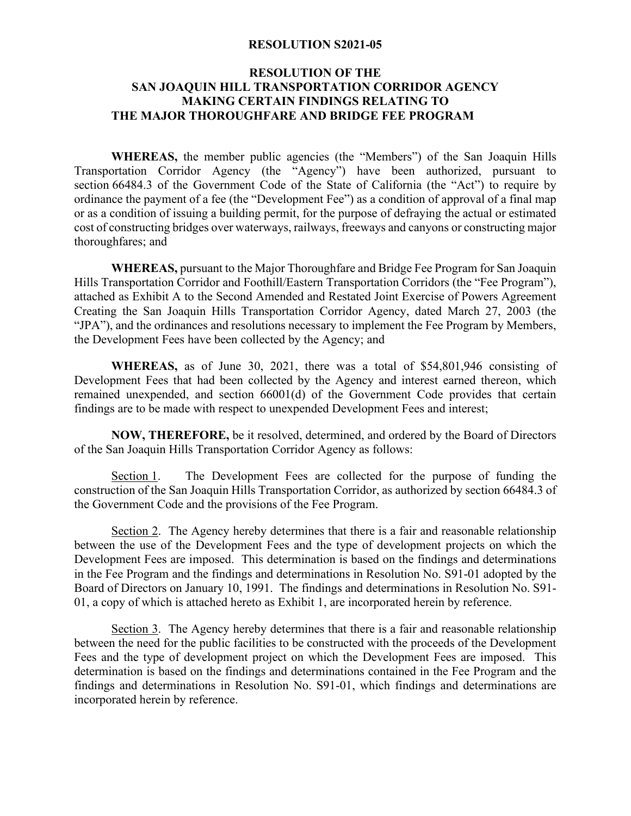#### **RESOLUTION S2021-05**

## **RESOLUTION OF THE SAN JOAQUIN HILL TRANSPORTATION CORRIDOR AGENCY MAKING CERTAIN FINDINGS RELATING TO THE MAJOR THOROUGHFARE AND BRIDGE FEE PROGRAM**

 or as a condition of issuing a building permit, for the purpose of defraying the actual or estimated **WHEREAS,** the member public agencies (the "Members") of the San Joaquin Hills Transportation Corridor Agency (the "Agency") have been authorized, pursuant to section 66484.3 of the Government Code of the State of California (the "Act") to require by ordinance the payment of a fee (the "Development Fee") as a condition of approval of a final map cost of constructing bridges over waterways, railways, freeways and canyons or constructing major thoroughfares; and

 attached as Exhibit A to the Second Amended and Restated Joint Exercise of Powers Agreement **WHEREAS,** pursuant to the Major Thoroughfare and Bridge Fee Program for San Joaquin Hills Transportation Corridor and Foothill/Eastern Transportation Corridors (the "Fee Program"), Creating the San Joaquin Hills Transportation Corridor Agency, dated March 27, 2003 (the "JPA"), and the ordinances and resolutions necessary to implement the Fee Program by Members, the Development Fees have been collected by the Agency; and

 Development Fees that had been collected by the Agency and interest earned thereon, which remained unexpended, and section 66001(d) of the Government Code provides that certain **WHEREAS,** as of June 30, 2021, there was a total of \$54,801,946 consisting of findings are to be made with respect to unexpended Development Fees and interest;

**NOW, THEREFORE,** be it resolved, determined, and ordered by the Board of Directors of the San Joaquin Hills Transportation Corridor Agency as follows:

Section 1. The Development Fees are collected for the purpose of funding the construction of the San Joaquin Hills Transportation Corridor, as authorized by section 66484.3 of the Government Code and the provisions of the Fee Program.

Section 2. The Agency hereby determines that there is a fair and reasonable relationship between the use of the Development Fees and the type of development projects on which the Development Fees are imposed. This determination is based on the findings and determinations in the Fee Program and the findings and determinations in Resolution No. S91-01 adopted by the Board of Directors on January 10, 1991. The findings and determinations in Resolution No. S91- 01, a copy of which is attached hereto as Exhibit 1, are incorporated herein by reference.

Section 3. The Agency hereby determines that there is a fair and reasonable relationship between the need for the public facilities to be constructed with the proceeds of the Development Fees and the type of development project on which the Development Fees are imposed. This determination is based on the findings and determinations contained in the Fee Program and the findings and determinations in Resolution No. S91-01, which findings and determinations are incorporated herein by reference.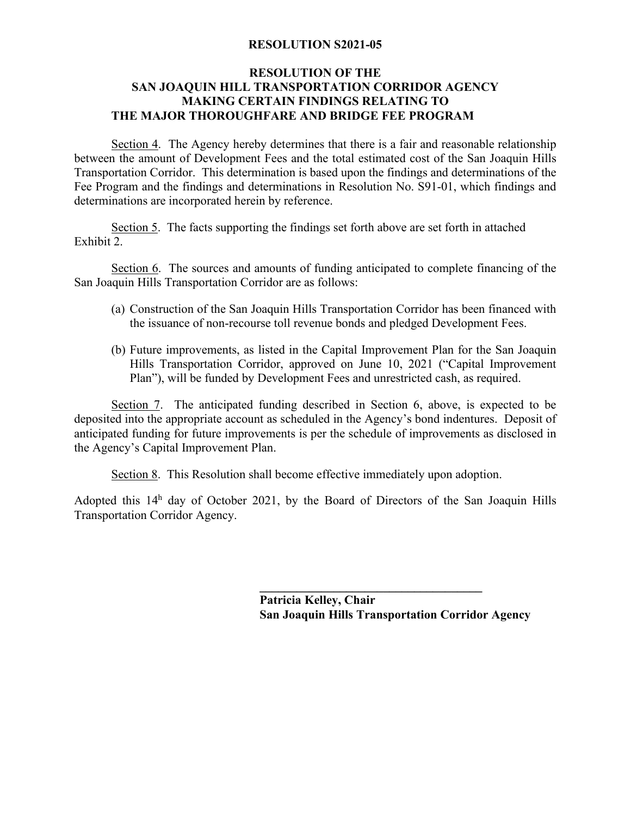## **RESOLUTION S2021-05**

## **RESOLUTION OF THE SAN JOAQUIN HILL TRANSPORTATION CORRIDOR AGENCY MAKING CERTAIN FINDINGS RELATING TO THE MAJOR THOROUGHFARE AND BRIDGE FEE PROGRAM**

Section 4. The Agency hereby determines that there is a fair and reasonable relationship between the amount of Development Fees and the total estimated cost of the San Joaquin Hills Transportation Corridor. This determination is based upon the findings and determinations of the Fee Program and the findings and determinations in Resolution No. S91-01, which findings and determinations are incorporated herein by reference.

Section 5. The facts supporting the findings set forth above are set forth in attached Exhibit 2.

Section 6. The sources and amounts of funding anticipated to complete financing of the San Joaquin Hills Transportation Corridor are as follows:

- the issuance of non-recourse toll revenue bonds and pledged Development Fees. (a) Construction of the San Joaquin Hills Transportation Corridor has been financed with
- (b) Future improvements, as listed in the Capital Improvement Plan for the San Joaquin Hills Transportation Corridor, approved on June 10, 2021 ("Capital Improvement Plan"), will be funded by Development Fees and unrestricted cash, as required.

 deposited into the appropriate account as scheduled in the Agency's bond indentures. Deposit of Section 7. The anticipated funding described in Section 6, above, is expected to be anticipated funding for future improvements is per the schedule of improvements as disclosed in the Agency's Capital Improvement Plan.

Section 8. This Resolution shall become effective immediately upon adoption.

 Transportation Corridor Agency. Adopted this  $14<sup>h</sup>$  day of October 2021, by the Board of Directors of the San Joaquin Hills

> **Patricia Kelley, Chair San Joaquin Hills Transportation Corridor Agency**

**\_\_\_\_\_\_\_\_\_\_\_\_\_\_\_\_\_\_\_\_\_\_\_\_\_\_\_\_\_\_\_\_\_\_\_\_**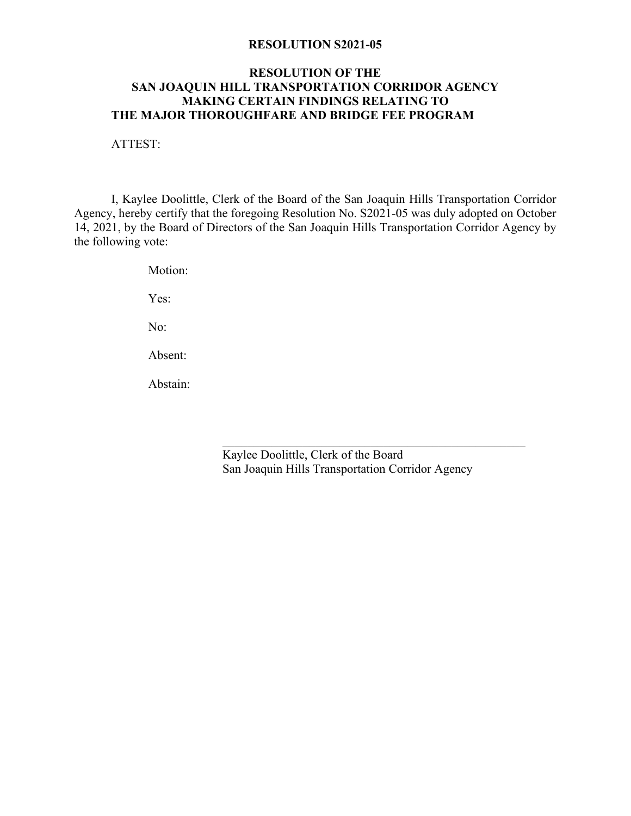#### **RESOLUTION S2021-05**

## **RESOLUTION OF THE SAN JOAQUIN HILL TRANSPORTATION CORRIDOR AGENCY MAKING CERTAIN FINDINGS RELATING TO THE MAJOR THOROUGHFARE AND BRIDGE FEE PROGRAM**

ATTEST:

I, Kaylee Doolittle, Clerk of the Board of the San Joaquin Hills Transportation Corridor Agency, hereby certify that the foregoing Resolution No. S2021-05 was duly adopted on October 14, 2021, by the Board of Directors of the San Joaquin Hills Transportation Corridor Agency by the following vote:

Motion:

Yes:

No:

Absent:

Abstain:

Absent:<br>
Abstain:<br>
Kaylee Doolittle, Clerk of the Board San Joaquin Hills Transportation Corridor Agency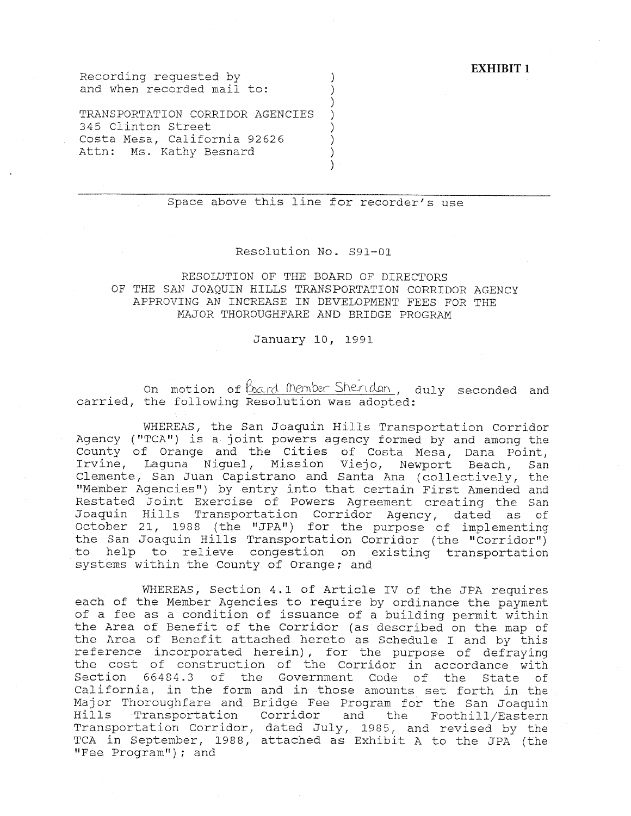#### **EXHIBIT 1**

Recording requested by  $)$ and when recorded mail to: (a)

TRANSPORTATION CORRIDOR AGENCIES ) 345 Clinton Street ) Costa Mesa, California 92626 (1944) Attn: Ms. Kathy Besnard )

## Space above this line for recorder's use

)

)

#### Resolution No. S91-0l

#### RESOLUTION OF THE BOARD OF DIRECTORS OF THE SAN JOAQUIN HILLS TRANSPORTATION CORRIDOR AGENCY APPROVING AN INCREASE IN DEVELOPMENT FEES FOR THE MAJOR THOROUGHFARE AND BRIDGE PROGRAM

#### January 10, 1991

on motion of <u>bard (Nember Shendan</u>, duly seconded and carried, the following Resolution was adopted:

WHEREAS, the San Joaquin Hills Transportation Corridor<br>Agency ("TCA") is a joint powers agency formed by and among the County of Orange and the Cities of Costa Mesa, Dana Point, Irvine, Laguna Niguel, Mission Viejo, Newport Beach, San Clemente, San Juan Capistrano and Santa Ana (collectively, the "Member Agencies") by entry into that certain First Amended and Restated Joint Exercise of Powers Agreement creating the San Joaquin Hills Transportation Corridor Agency, dated as of October 21, 1988 (the "JPA'') for the purpose of implementing the San Joaquin Hills Transportation Corridor (the "Corridor") to help to relieve congestion on existing transportation systems within the County of Orange; and

WHEREAS, Section 4.1 of Article IV of the JPA requires each of the Member Agencies to require by ordinance the payment of a fee as a condition of issuance of a building permit within the Area of Benefit of the Corridor (as described on the map of the Area of Benefit attached hereto as Schedule I and by this reference incorporated herein) , for the purpose of defraying the cost of construction of the Corridor in accordance with Section 66484.3 of the Government Code of the State of California, in the form and in those amounts set forth in the Major Thoroughfare and Bridge Fee Program for the San Joaquin Hills Transportation Corridor and the Foothill/Eastern Transportation Corridor, dated July, 1985, and revised by the TCA in September, 1988, attached as Exhibit A to the JPA (the "Fee Program"); and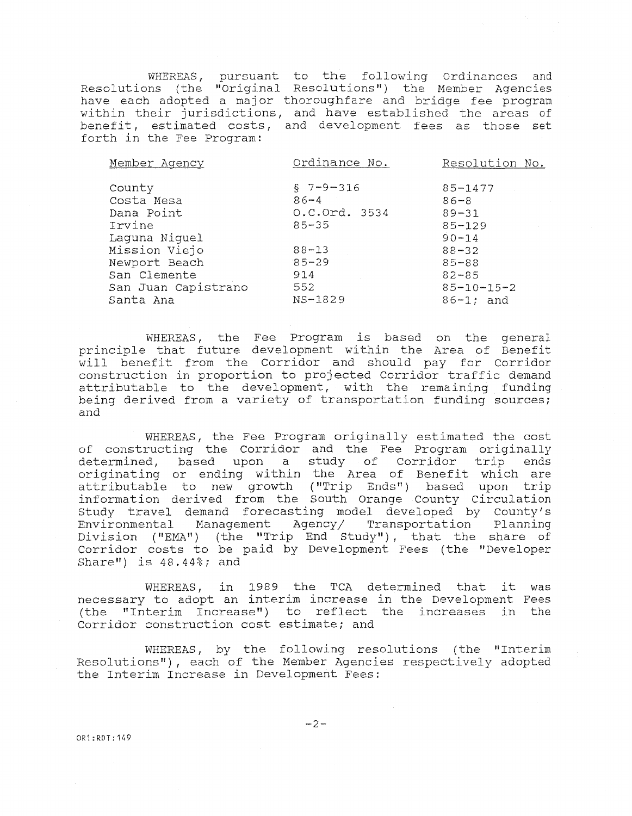WHEREAS, pursuant to the following Ordinances and Resolutions (the "Original Resolutions") the Member Agencie have each adopted a major thoroughfare and bridge fee program within their jurisdictions, and have established the areas of benefit, estimated costs, and development fees as those set forth in the Fee Program:

| Member Agency       | Ordinance No.  | Resolution No.     |  |  |
|---------------------|----------------|--------------------|--|--|
| County              | $$7 - 9 - 316$ | $85 - 1477$        |  |  |
| Costa Mesa          | $86 - 4$       | $86 - 8$           |  |  |
| Dana Point          | 0.C.Ord. 3534  | $89 - 31$          |  |  |
| Irvine              | $85 - 35$      | $85 - 129$         |  |  |
| Laquna Niquel       |                | $90 - 14$          |  |  |
| Mission Viejo       | $88 - 13$      | $88 - 32$          |  |  |
| Newport Beach       | $85 - 29$      | $85 - 88$          |  |  |
| San Clemente        | 914            | $82 - 85$          |  |  |
| San Juan Capistrano | 552            | $85 - 10 - 15 - 2$ |  |  |
| Santa Ana           | NS-1829        | $86 - 1$ ; and     |  |  |
|                     |                |                    |  |  |

WHEREAS, the Fee Program is based on the general principle that future development within the Area of Benefit will benefit from the Corridor and should pay for Corridor construction in proportion to projected Corridor traffic demand attributable to the development, with the remaining funding being derived from a variety of transportation funding sources; and

WHEREAS, the Fee Program originally estimated the cost of constructing the corridor and the Fee Program originally determined, based upon a study of Corridor trip ends originating or ending within the Area of Benefit which are attributable to new growth ("Trip Ends") based upon tri information derived from the South Orange County Circulat Study travel demand forecasting model developed by County Environmental Management Agency/ Transportation Planning Division ("EMA") (the "Trip End Study"), that the share of Corridor costs to be paid by Development Fees (the "Developer Share") is  $48.44\textdegree$ ; and

WHEREAS, in 1989 the TCA determined that it was necessary to adopt an interim increase in the Development Fees (the "Interim Increase") to reflect the increases in the Corridor construction cost estimate; and

WHEREAS, by the following resolutions (the "Interim Resolutions"), each of the Member Agencies respectively adopted the Interim Increase in Development Fees:

OR1:RDT:149

 $-2-$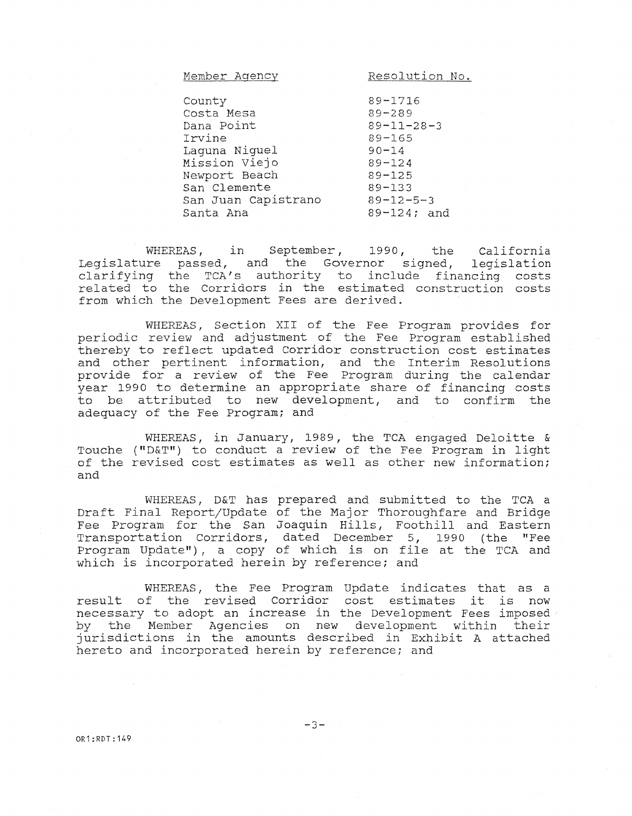| Member Agency       | Resolution No.     |
|---------------------|--------------------|
|                     |                    |
| County              | $89 - 1716$        |
| Costa Mesa          | $89 - 289$         |
| Dana Point          | $89 - 11 - 28 - 3$ |
| Irvine              | $89 - 165$         |
| Laquna Niquel       | $90 - 14$          |
| Mission Viejo       | $89 - 124$         |
| Newport Beach       | $89 - 125$         |
| San Clemente        | $89 - 133$         |
| San Juan Capistrano | $89 - 12 - 5 - 3$  |
| Santa Ana           | 89-124; and        |

WHEREAS, in September, 1990, the California Legislature passed, and the Governor signed, legislation clarifying the TCA's authority to include financing costs related to the Corridors in the estimated construction costs from which the Development Fees are derived.

WHEREAS, Section XII of the Fee Program provides for periodic review and adjustment of the Fee Program established thereby to reflect updated Corridor construction cost estimates and other pertinent information, and the Interim Resoluti provide for a review of the Fee Program during the calend year 1990 to determine an appropriate share of financing costs to be attributed to new development, and to confirm the adequacy of the Fee Program; and

WHEREAS, in January, 1989, the TCA engaged Deloitte & Touche ("D&T") to conduct a review of the Fee Program in light of the revised cost estimates as well as other new information; and

WHEREAS, D&T has prepared and submitted to the TCA a Draft Final Report/Update of the Major Thoroughfare and Bridge Fee Program for the San Joaquin Hills, Foothill and Eastern Transportation Corridors, dated December 5, 1990 (the "Fee Program Update") , a copy of which is on file at the TCA and which is incorporated herein by reference; and

WHEREAS, the Fee Program Update indicates that as a result of the revised Corridor cost estimates it is now necessary to adopt an increase in the Development Fees imposed by the Member Agencies on new development within their jurisdictions in the amounts described in Exhibit A attached hereto and incorporated herein by reference; and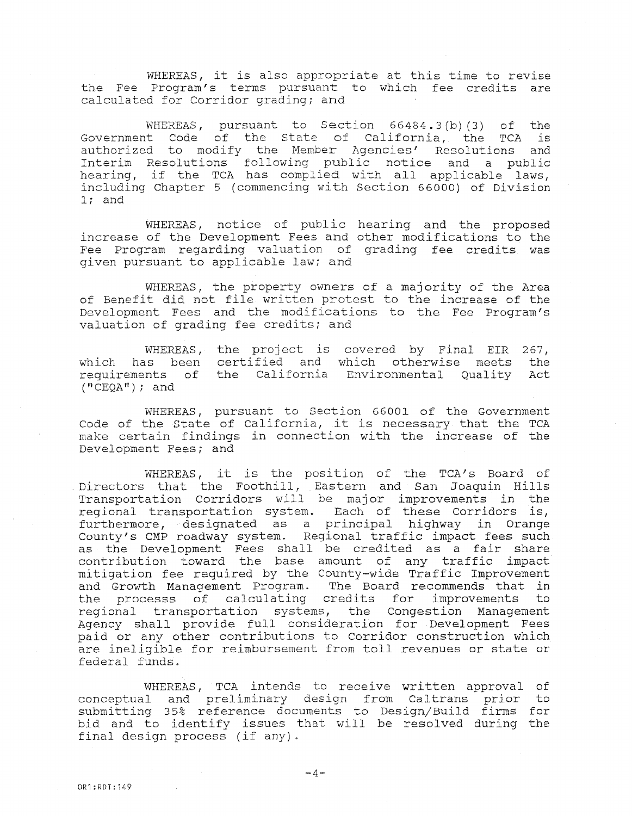WHEREAS, it is also appropriate at this time to revise the Fee Program's terms pursuant to which fee credits are calculated for Corridor grading; and

WHEREAS, pursuant to Section 66484.3(b)(3) of the Government Code of the State of California, the TCA is authorized to modify the Member Agencies' Resolutions and Interim Resolutions following public notice and a public hearing, if the TCA has complied with all applicable laws, including Chapter 5 (commencing with Section 66000) of Division l; and

WHEREAS, notice of public hearing and the proposed increase of the Development Fees and other modifications to the Fee Program regarding valuation of grading fee credits was given pursuant to applicable law; and

WHEREAS, the property owners of a majority of the Area of Benefit did not file written protest to the increase of the Development Fees and the modifications to the Fee Program's valuation of grading fee credits; and

WHEREAS, the project is covered by Final EIR 267, which has been certified and which otherwise meets the<br>requirements of the California Environmental Quality Act requirements of the California Environmental Quality Act<br>("CEQA"); and

WHEREAS, pursuant to Section 66001 of the Government Code of the State of California, it is necessary that the TCA make certain findings in connection with the increase of the Development Fees; and

WHEREAS, it is the position of the TCA's Board of Directors that the Foothill, Eastern and San Joaquin Hills Transportation Corridors will be major improvements in the regional transportation system. Each of these Corridors is, furthermore, designated as a principal highway in Orange County's CMP roadway system. Regional traffic impact fees such as the Development Fees shall be credited as a fair shar contribution toward the base amount of any traffic impac mitigation fee required by the County-wide Traffic Improvement and Growth Management Program. The Board recommends that in the processs of calculating credits for improvements to regional transportation systems, the Congestion Management Agency shall provide full consideration for Development Fees paid or any other contributions to Corridor construction which are ineligible for reimbursement from toll revenues or state or federal funds.

WHEREAS, TCA intends to receive written approval of conceptual and preliminary design from Caltrans prior to submitting 35% reference documents to Design/Build firms for bid and to identify issues that will be resolved during the final design process (if any).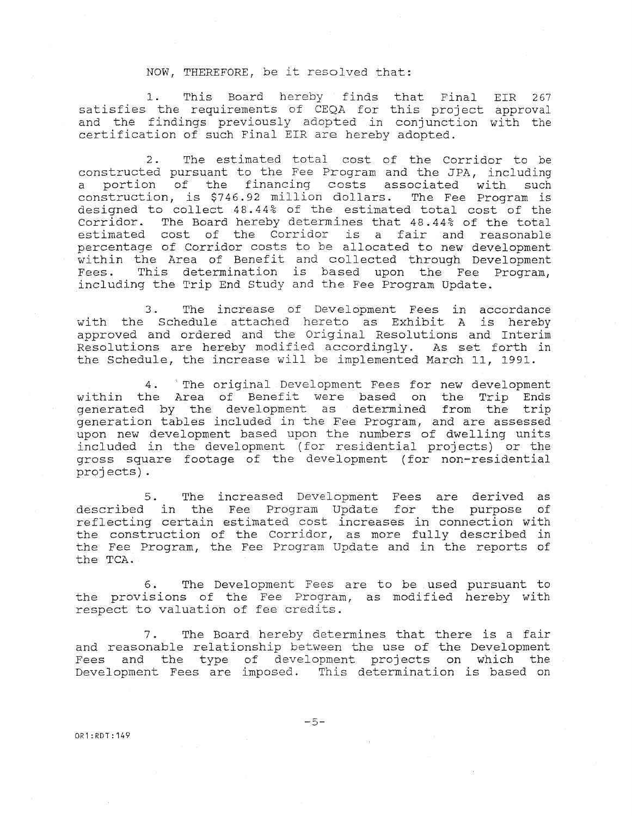#### NOW, THEREFORE, be it resolved that:

1. This Board hereby finds that Final EIR 267 satisfies the requirements of CEQA for this project approval and the findings previously adopted in conjunction with the certification of such Final EIR are hereby adopted.

2. The estimated total cost of the Corridor to be constructed pursuant to the Fee Program and the JPA, including a portion of the financing costs associated with such<br>construction, is \$746.92 million dollars. The Fee Program is construction, is \$746.92 million dollars. designed to collect 48. 44% of the estimated total cost of the Corridor. The Board hereby determines that 48.44% of the total estimated cost of the Corridor is a fair and reasonable percentage of Corridor costs to be allocated to new development within the Area of Benefit and collected through Development Fees. This determination is based upon the Fee Program, including the Trip End study and the Fee Program Update.

3. The increase of Development Fees in accordance with the Schedule attached hereto as Exhibit A is hereby approved and ordered and the Original Resolutions and Interim Resolutions are hereby modified accordingly. As set forth in the Schedule, the increase will be implemented March 11, 1991.

4. 'The original Development Fees for new development within the Area of Benefit were based on the Trip Ends generated by the development as determined from the tri generation tables included in the Fee Program, and are assessed upon new development based upon the numbers of dwelling units included in the development ( for residential projects) or the gross square footage of the development ( for non-residential projects) .

5. The increased Development Fees are derived as described in the Fee Program Update for the purpose of reflecting certain estimated cost increases in connection with the construction of the Corridor, as more fully described in the Fee Program, the Fee Program Update and in the reports of the TCA.

6. The Development Fees are to be used pursuant to the provisions of the Fee Program, as modified hereby with respect to valuation of fee credits.

7. The Board hereby determines that there is a fair and reasonable relationship between the use of the Development Fees and the type of development projects on which the Development Fees are imposed. This determination is based on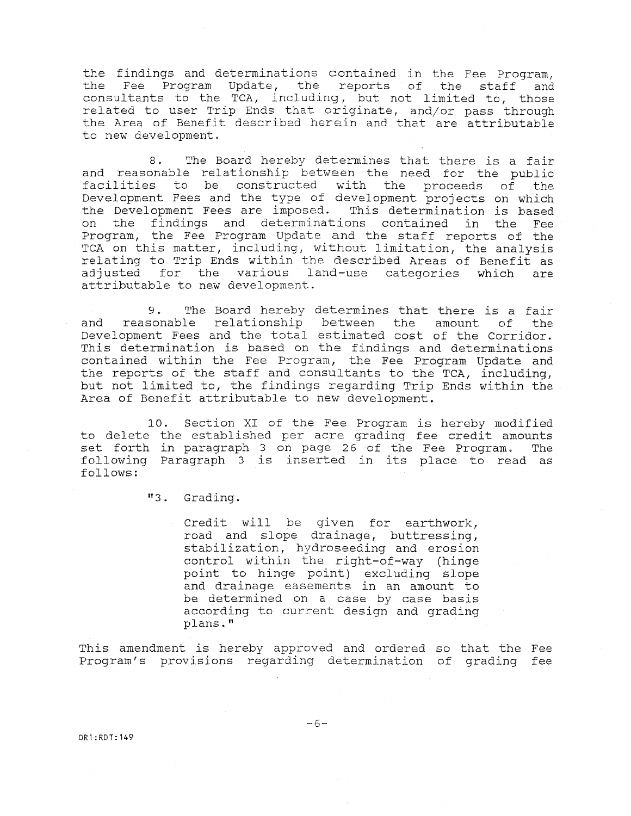the findings and determinations contained in the Fee Program, the Fee Program Update, the reports of the staff and consultants to the TCA, including, but not limited to, those related to user Trip Ends that originate, and/or pass through the Area of Benefit described herein and that are attributable to new development.

8. The Board hereby determines that there is a fair and reasonable relationship between the need for the public facilities to be constructed with the proceeds of the Development Fees and the type of development projects on which the Development Fees are imposed. This determination is based on the findings and determinations contained in the Fee Program, the Fee Program Update and the staff reports of the TCA on this matter, including, without limitation, the analysis relating to Trip Ends within the described Areas of Benefit as adjusted for the various land-use categories which are attributable to new development.

9. The Board hereby determines that there is a fair and reasonable relationship between the amount of the Development Fees and the total estimated cost of the Corridor. This determination is based on the findings and determinations contained within the Fee Program, the Fee Program Update and the reports of the staff and consultants to the TCA, including, but not limited to, the findings regarding Trip Ends within the Area of Benefit attributable to new development.

10. Section XI of the Fee Program is hereby modified to delete the established per acre grading fee credit amounts set forth in paragraph 3 on page 26 of the Fee Program. The following Paragraph 3 is inserted in its place to read as follows:

"3. Grading.

Credit will be given for earthwork, road and slope drainage, buttressing, stabilization, hydroseeding and erosion control within the right-of-way (hinge point to hinge point) excluding slope and drainage easements in an amount to be determined on a case by case basis according to current design and grading plans."

This amendment is hereby approved and ordered so that the Fee Program's provisions regarding determination of grading fee

 $-6-$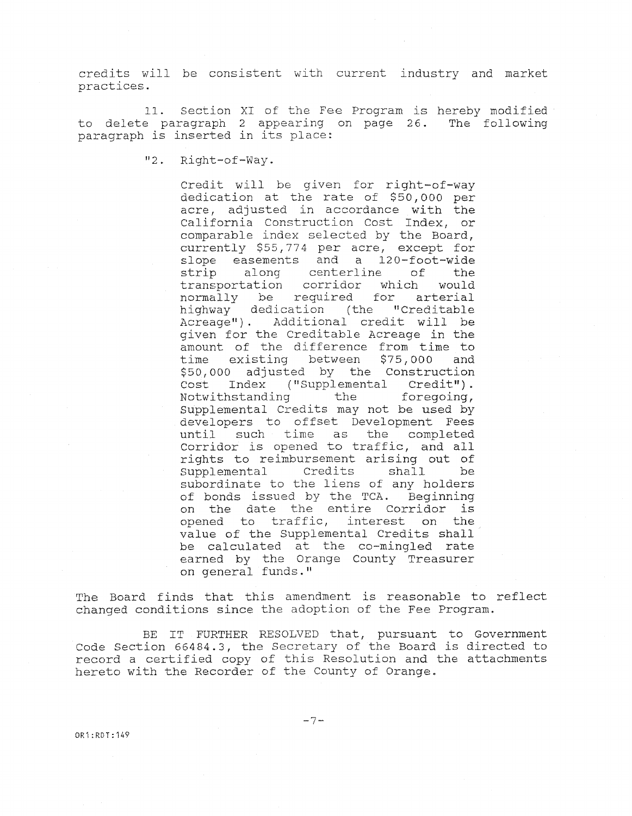credits will be consistent with current industry and market practices.

11. Section XI of the Fee Program is hereby modified to delete paragraph 2 appearing on page 26. The following paragraph is inserted in its place:

"2. Right-of-Way.

Credit will be given for right-of-way dedication at the rate of \$50,000 per acre, adjusted in accordance with the California Construction Cost Index, or comparable index selected by the Board, currently \$55,774 per acre, except for slope easements and a 120-foot-wide strip along centerline of the transportation corridor which would normally be required for arterial<br>highway dedication (the "Creditable highway dedication Acreage") . Additional credit will be given for the Creditable Acreage in the amount of the difference from time to time existing between \$75,000 and \$50,000 adjusted by the Construction Cost Index ("Supplemental Credit").<br>Notwithstanding the foregoing, Notwithstanding Supplemental Credits may not be used by developers to offset Development Fees until such time as the completed Corridor is opened to traffic, and all rights to reimbursement arising out of<br>Supplemental Credits shall be supplemental Credits shall be subordinate to the liens of any holders of bonds issued by the TCA. Beginning on the date the entire Corridor is opened to traffic, interest on the value of the Supplemental Credits shall be calculated at the co-mingled rate earned by the Orange County Treasur on general funds."

The Board finds that this amendment is reasonable to reflect changed conditions since the adoption of the Fee Program.

BE IT FURTHER RESOLVED that, pursuant to Governmer Code Section 66484.3, the Secretary of the Board is directed to record a certified copy of this Resolution and the attachments hereto with the Recorder of the County of Orange.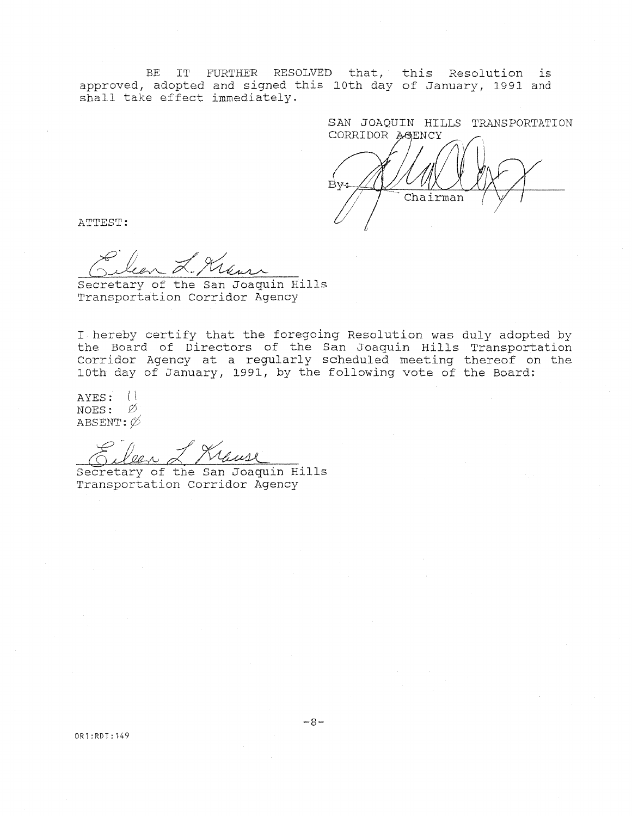BE IT FURTHER RESOLVED that, this Resolution is approved, adopted and signed this l0th day of January, 1991 and shall take effect immediately.

SAN JOAQUIN HILLS TRANSPORTATION CORRIDOR AGENCY  $Bv:$ Chairman

ATTEST:

Secretary of the San Joaquin Hill Transportation Corridor Agency

I hereby certify that the foregoing Resolution was duly adopted by the Board of Directors of the San Joaquin Hill Corridor Agency at a regularly scheduled meeting 10th day of January, 1991, by the following vote of the Board: Transporta thereof on the

AYES: ( I NOES:  $\emptyset$ ABSENT:  $\emptyset$ 

Secretary of the San Joaquin Hill Transportation Corridor Agency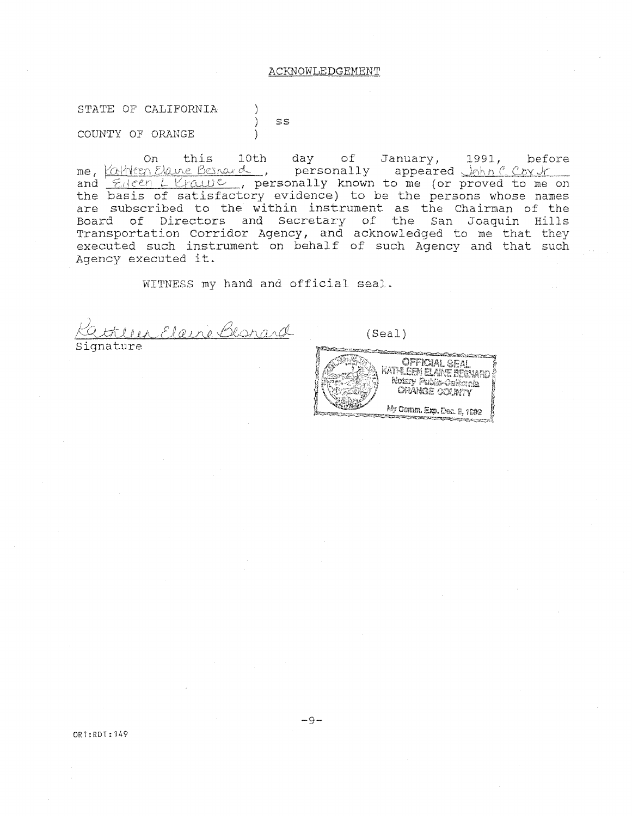#### ACKNOWLEDGEMENT

STATE OF CALIFORNIA ) ) ss COUNTY OF ORANGE )

On this 10th day of Januar me, <u>Kathleen Elaine Besnard</u>, personally appear and  $\epsilon$ ileen L Krause, personally known to me (or proved to me on the basis of satisfactory evidence) to be the persons whose names are subscribed to the within instrument as the Chairman of the Board of Directors and Secretary of the San Joaquin Hills Transportation Corridor Agency, and acknowledged to me that they executed such instrument on behalf of such Agency and that such Agency executed it.

WITNESS my hand and official seal.

r Elaire Bearard

Signature

(Seal)

**Contractive Contract OFFICIAL SEAL** KATHEME AME BEAM Bedan Porto Casarer **CRANGE COUNTY** My Comm. Exp. Dec. 8, 1602

OR1:RDT:149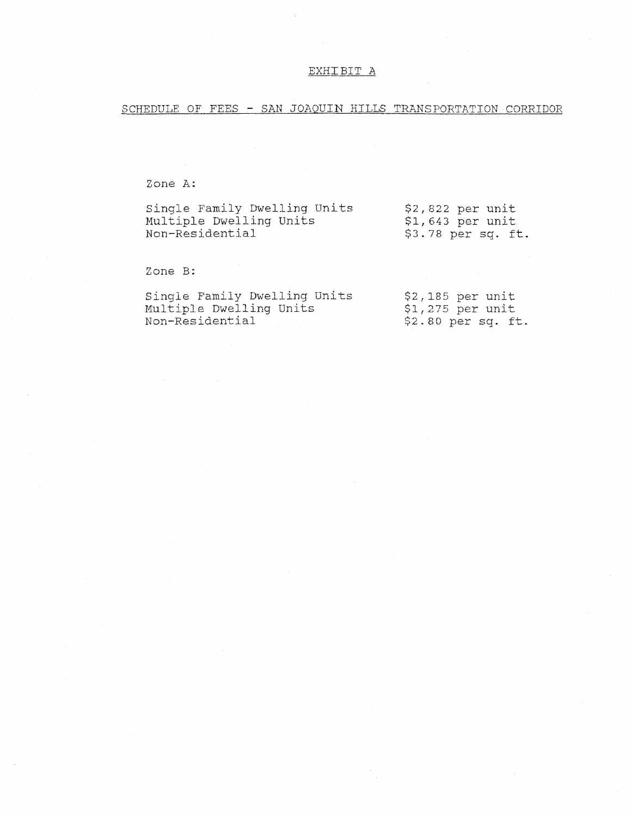## EXHIBIT A

SCHEDULE OF FEES - SAN JOAQUIN HILLS TRANSPORTATION CORRIDOR

Zone A:

| Single Family Dwelling Units | $$2,822$ per unit   |  |  |
|------------------------------|---------------------|--|--|
| Multiple Dwelling Units      | \$1,643 per unit    |  |  |
| Non-Residential              | $$3.78$ per sq. ft. |  |  |

Zone B:

| Single Family Dwelling Units | $$2,185$ per unit |                     |  |
|------------------------------|-------------------|---------------------|--|
| Multiple Dwelling Units      | \$1,275 per unit  |                     |  |
| Non-Residential              |                   | $$2.80$ per sq. ft. |  |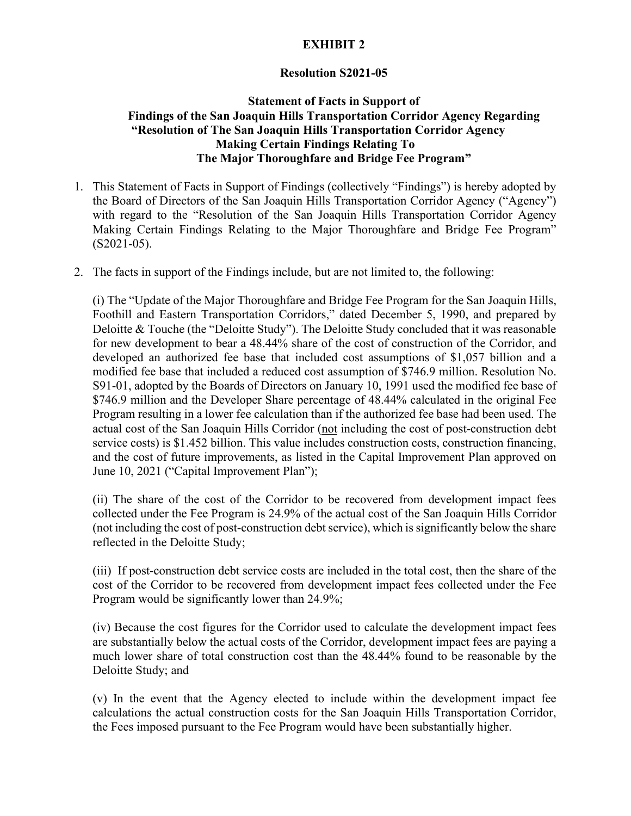# **EXHIBIT 2**

## **Resolution S2021-05**

# **Statement of Facts in Support of Findings of the San Joaquin Hills Transportation Corridor Agency Regarding "Resolution of The San Joaquin Hills Transportation Corridor Agency Making Certain Findings Relating To The Major Thoroughfare and Bridge Fee Program"**

- 1. This Statement of Facts in Support of Findings (collectively "Findings") is hereby adopted by the Board of Directors of the San Joaquin Hills Transportation Corridor Agency ("Agency") with regard to the "Resolution of the San Joaquin Hills Transportation Corridor Agency Making Certain Findings Relating to the Major Thoroughfare and Bridge Fee Program" (S2021-05).
- 2. The facts in support of the Findings include, but are not limited to, the following:

 developed an authorized fee base that included cost assumptions of \$1,057 billion and a Program resulting in a lower fee calculation than if the authorized fee base had been used. The actual cost of the San Joaquin Hills Corridor (not including the cost of post-construction debt (i) The "Update of the Major Thoroughfare and Bridge Fee Program for the San Joaquin Hills, Foothill and Eastern Transportation Corridors," dated December 5, 1990, and prepared by Deloitte & Touche (the "Deloitte Study"). The Deloitte Study concluded that it was reasonable for new development to bear a 48.44% share of the cost of construction of the Corridor, and modified fee base that included a reduced cost assumption of \$746.9 million. Resolution No. S91-01, adopted by the Boards of Directors on January 10, 1991 used the modified fee base of \$746.9 million and the Developer Share percentage of 48.44% calculated in the original Fee service costs) is \$1.452 billion. This value includes construction costs, construction financing, and the cost of future improvements, as listed in the Capital Improvement Plan approved on June 10, 2021 ("Capital Improvement Plan");

(ii) The share of the cost of the Corridor to be recovered from development impact fees collected under the Fee Program is 24.9% of the actual cost of the San Joaquin Hills Corridor (not including the cost of post-construction debt service), which is significantly below the share reflected in the Deloitte Study;

Program would be significantly lower than 24.9%; (iii) If post-construction debt service costs are included in the total cost, then the share of the cost of the Corridor to be recovered from development impact fees collected under the Fee

Deloitte Study; and (iv) Because the cost figures for the Corridor used to calculate the development impact fees are substantially below the actual costs of the Corridor, development impact fees are paying a much lower share of total construction cost than the 48.44% found to be reasonable by the

 calculations the actual construction costs for the San Joaquin Hills Transportation Corridor, the Fees imposed pursuant to the Fee Program would have been substantially higher.  $\alpha$ ) In the event that the Agency elected to include within the development impact fee